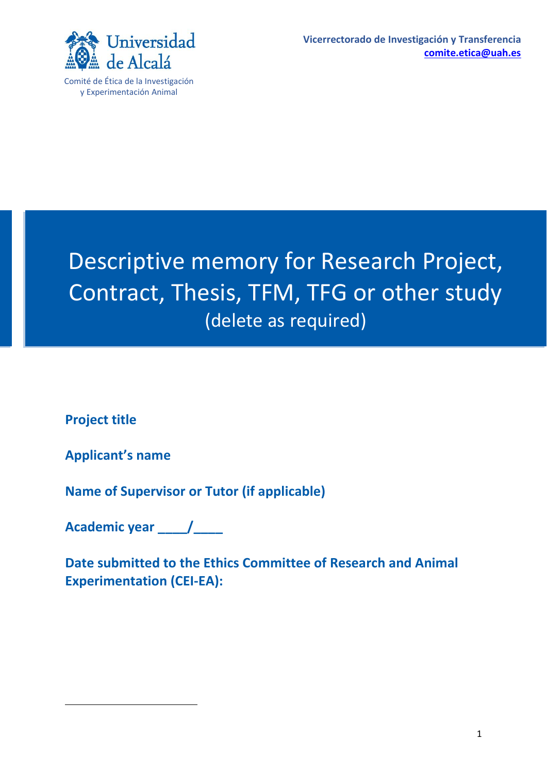

Comité de Ética de la Investigación y Experimentación Animal

# Descriptive memory for Research Project, Contract, Thesis, TFM, TFG or other study (delete as required)

**Project title**

**Applicant's name**

**Name of Supervisor or Tutor (if applicable)**

**Academic year \_\_\_\_/\_\_\_\_**

**Date submitted to the Ethics Committee of Research and Animal Experimentation (CEI-EA):**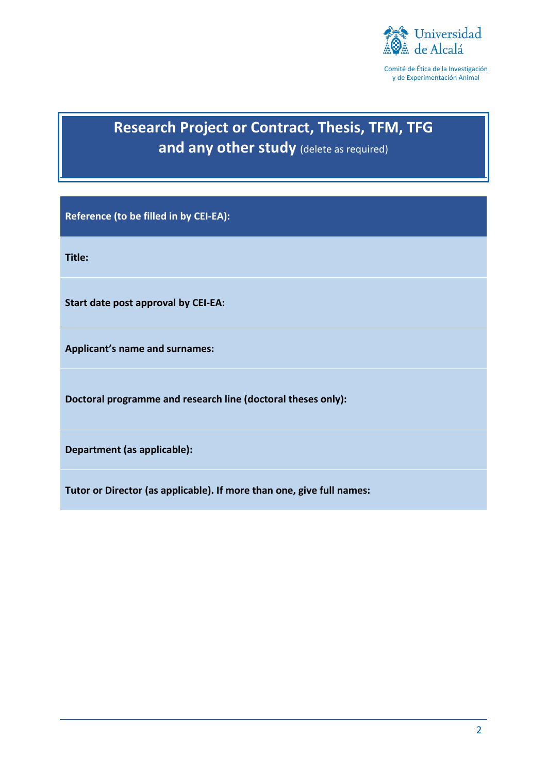

Comité de Ética de la Investigación y de Experimentación Animal

# **Research Project or Contract, Thesis, TFM, TFG and any other study** (delete as required)

**Reference (to be filled in by CEI-EA):** 

**Title:** 

**Start date post approval by CEI-EA:** 

**Applicant's name and surnames:**

**Doctoral programme and research line (doctoral theses only):**

**Department (as applicable):**

**Tutor or Director (as applicable). If more than one, give full names:**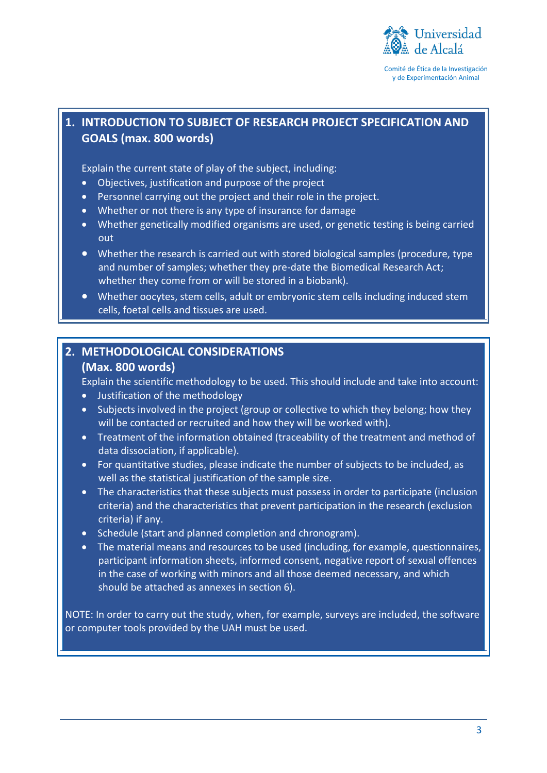

### **1. INTRODUCTION TO SUBJECT OF RESEARCH PROJECT SPECIFICATION AND GOALS (max. 800 words)**

Explain the current state of play of the subject, including:

- Objectives, justification and purpose of the project
- Personnel carrying out the project and their role in the project.
- Whether or not there is any type of insurance for damage
- Whether genetically modified organisms are used, or genetic testing is being carried out
- Whether the research is carried out with stored biological samples (procedure, type and number of samples; whether they pre-date the Biomedical Research Act; whether they come from or will be stored in a biobank).
- Whether oocytes, stem cells, adult or embryonic stem cells including induced stem cells, foetal cells and tissues are used.

## **2. METHODOLOGICAL CONSIDERATIONS**

#### **(Max. 800 words)**

Explain the scientific methodology to be used. This should include and take into account:

- Justification of the methodology
- Subjects involved in the project (group or collective to which they belong; how they will be contacted or recruited and how they will be worked with).
- Treatment of the information obtained (traceability of the treatment and method of data dissociation, if applicable).
- For quantitative studies, please indicate the number of subjects to be included, as well as the statistical justification of the sample size.
- The characteristics that these subjects must possess in order to participate (inclusion criteria) and the characteristics that prevent participation in the research (exclusion criteria) if any.
- Schedule (start and planned completion and chronogram).
- The material means and resources to be used (including, for example, questionnaires, participant information sheets, informed consent, negative report of sexual offences in the case of working with minors and all those deemed necessary, and which should be attached as annexes in section 6).

NOTE: In order to carry out the study, when, for example, surveys are included, the software or computer tools provided by the UAH must be used.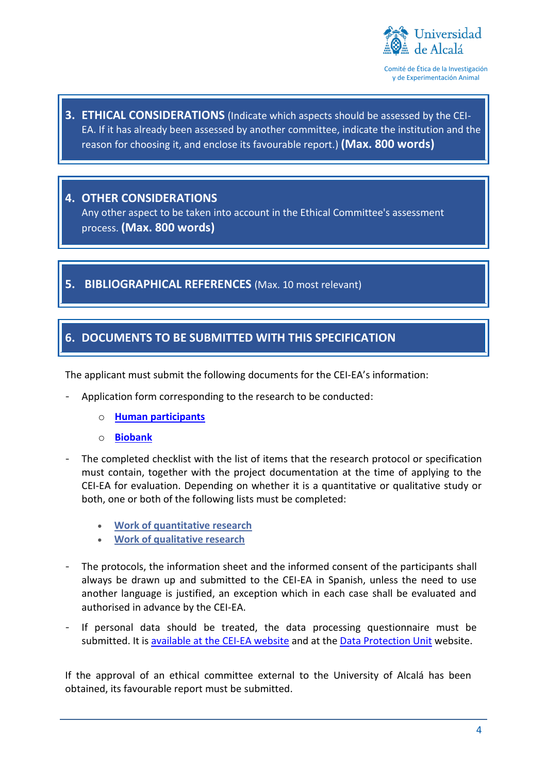

Comité de Ética de la Investigación y de Experimentación Animal

**3. ETHICAL CONSIDERATIONS** (Indicate which aspects should be assessed by the CEI-EA. If it has already been assessed by another committee, indicate the institution and the reason for choosing it, and enclose its favourable report.) **(Max. 800 words)**

#### **4. OTHER CONSIDERATIONS**

Any other aspect to be taken into account in the Ethical Committee's assessment process. **(Max. 800 words)**

#### **5. BIBLIOGRAPHICAL REFERENCES** (Max. 10 most relevant)

#### **6. DOCUMENTS TO BE SUBMITTED WITH THIS SPECIFICATION**

The applicant must submit the following documents for the CEI-EA's information:

- Application form corresponding to the research to be conducted:
	- o **[Human participants](https://www.uah.es/export/sites/uah/es/investigacion/.galleries/Investigacion/Investigacion-con-seres-humanos.pdf)**
	- o **[Biobank](https://www.uah.es/export/sites/uah/es/investigacion/.galleries/Investigacion/Biobanco.pdf)**
- The completed checklist with the list of items that the research protocol or specification must contain, together with the project documentation at the time of applying to the CEI-EA for evaluation. Depending on whether it is a quantitative or qualitative study or both, one or both of the following lists must be completed:
	- **[Work of quantitative research](https://www.uah.es/export/sites/uah/es/investigacion/.galleries/Investigacion/Checklist_CEI-UAH_cuantitativa.pdf)**
	- **[Work of qualitative research](https://www.uah.es/export/sites/uah/es/investigacion/.galleries/Investigacion/Checklist_CEI-UAH_cualitativa.pdf)**
- The protocols, the information sheet and the informed consent of the participants shall always be drawn up and submitted to the CEI-EA in Spanish, unless the need to use another language is justified, an exception which in each case shall be evaluated and authorised in advance by the CEI-EA.
- If personal data should be treated, the data processing questionnaire must be submitted. It is available at [the CEI-EA website](https://www.uah.es/es/investigacion/servicios-para-el-investigador/comite-de-etica-de-investigacion-y-experimentacion-animal/#impresos-formularios-y-modelos) and at the [Data Protection Unit](https://www.uah.es/es/conoce-la-uah/organizacion-y-gobierno/equipo-de-direccion/secretaria-general/proteccion-de-datos-de-caracter-personal/) website.

If the approval of an ethical committee external to the University of Alcalá has been obtained, its favourable report must be submitted.